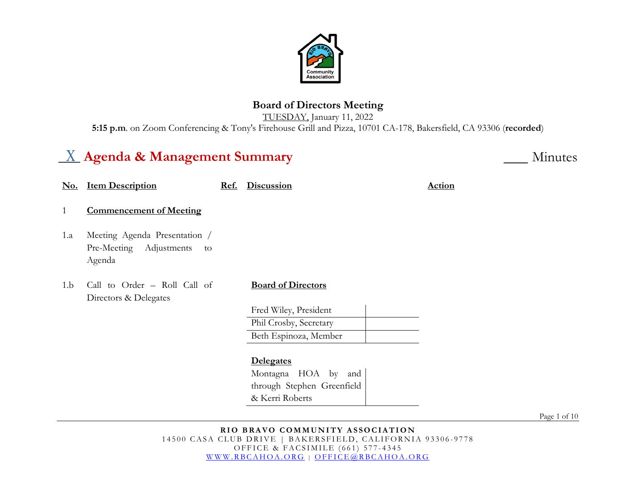

# **Board of Directors Meeting**

TUESDAY, January 11, 2022 **5:15 p.m**. on Zoom Conferencing & Tony's Firehouse Grill and Pizza, 10701 CA-178, Bakersfield, CA 93306 (**recorded**)

# $\underline{X}$  Agenda & Management Summary

|     | No. Item Description                                                     | Ref. | <b>Discussion</b>          | <b>Action</b> |
|-----|--------------------------------------------------------------------------|------|----------------------------|---------------|
| 1   | <b>Commencement of Meeting</b>                                           |      |                            |               |
| 1.a | Meeting Agenda Presentation /<br>Pre-Meeting Adjustments<br>to<br>Agenda |      |                            |               |
| 1.b | Call to Order - Roll Call of<br>Directors & Delegates                    |      | <b>Board of Directors</b>  |               |
|     |                                                                          |      | Fred Wiley, President      |               |
|     |                                                                          |      | Phil Crosby, Secretary     |               |
|     |                                                                          |      | Beth Espinoza, Member      |               |
|     |                                                                          |      | <b>Delegates</b>           |               |
|     |                                                                          |      | Montagna HOA by and        |               |
|     |                                                                          |      | through Stephen Greenfield |               |

Page 1 of 10

& Kerri Roberts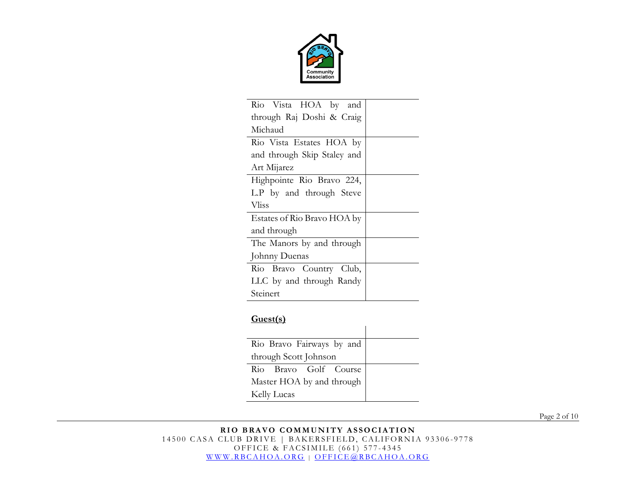

| Rio Vista HOA by and        |  |  |
|-----------------------------|--|--|
| through Raj Doshi & Craig   |  |  |
| Michaud                     |  |  |
| Rio Vista Estates HOA by    |  |  |
| and through Skip Staley and |  |  |
| Art Mijarez                 |  |  |
| Highpointe Rio Bravo 224,   |  |  |
| L.P by and through Steve    |  |  |
| <b>Vliss</b>                |  |  |
| Estates of Rio Bravo HOA by |  |  |
| and through                 |  |  |
| The Manors by and through   |  |  |
| Johnny Duenas               |  |  |
| Rio Bravo Country Club,     |  |  |
| LLC by and through Randy    |  |  |
| Steinert                    |  |  |

## **Guest(s)**

| Rio Bravo Fairways by and |  |
|---------------------------|--|
| through Scott Johnson     |  |
| Rio Bravo Golf Course     |  |
| Master HOA by and through |  |
| Kelly Lucas               |  |

Page 2 of 10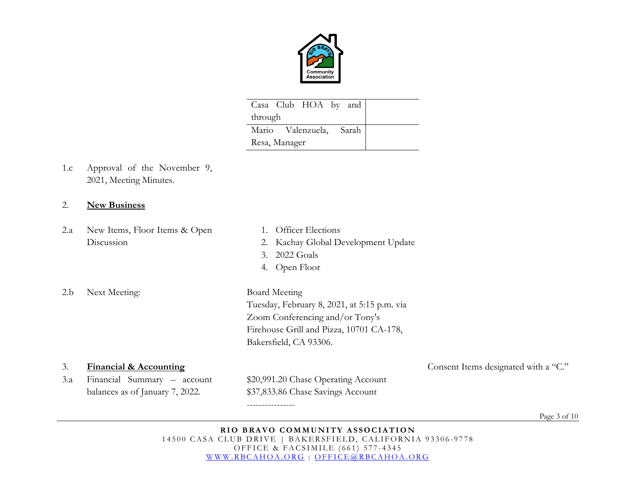

| Casa Club HOA by and    |  |  |  |
|-------------------------|--|--|--|
| through                 |  |  |  |
| Mario Valenzuela, Sarah |  |  |  |
| Resa, Manager           |  |  |  |

1.c Approval of the November 9, 2021, Meeting Minutes.

## 2. **New Business**

- 2.a New Items, Floor Items & Open Discussion
- 2.b Next Meeting: Board Meeting
- 1. Officer Elections
- 2. Kachay Global Development Update
- 3. 2022 Goals
- 4. Open Floor

----------------

Tuesday, February 8, 2021, at 5:15 p.m. via Zoom Conferencing and/or Tony's Firehouse Grill and Pizza, 10701 CA-178, Bakersfield, CA 93306.

3. **Financial & Accounting** Consent Items designated with a "C." 3.a Financial Summary – account balances as of January 7, 2022. \$20,991.20 Chase Operating Account \$37,833.86 Chase Savings Account

Page 3 of 10

**RIO BRAVO COMMUNITY ASSOCIATION** 14500 CASA CLUB DRIVE | BAKERSFIELD, CALIFORNIA 93306-9778 OFFICE & FACSIMILE (661) 577 - 4345 [WWW.RBCAHOA.ORG](http://www.rbcahoa.org/) | [OFFICE@RBCAHOA.ORG](mailto:OFFICE@RBCAHOA.ORG)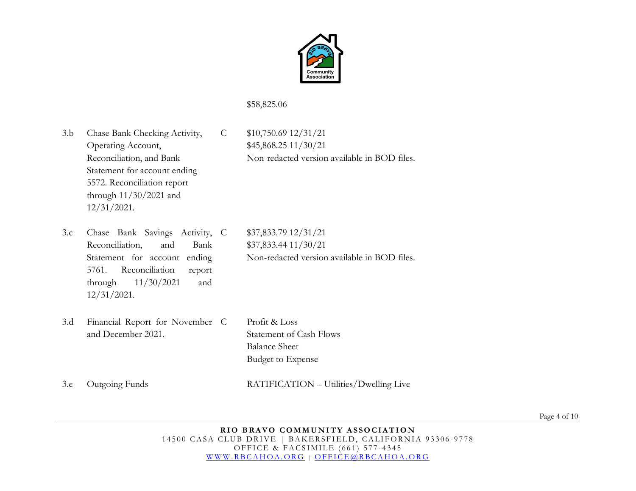

## \$58,825.06

3.b Chase Bank Checking Activity, Operating Account, Reconciliation, and Bank Statement for account ending 5572. Reconciliation report through 11/30/2021 and 12/31/2021.

C \$10,750.69 12/31/21 \$45,868.25 11/30/21 Non-redacted version available in BOD files.

- 3.c Chase Bank Savings Activity, Reconciliation, and Bank Statement for account ending 5761. Reconciliation report through 11/30/2021 and 12/31/2021.
- 3.d Financial Report for November and December 2021.

C \$37,833.79 12/31/21 \$37,833.44 11/30/21 Non-redacted version available in BOD files.

Profit & Loss Statement of Cash Flows Balance Sheet Budget to Expense

3.e Outgoing Funds RATIFICATION – Utilities/Dwelling Live

Page 4 of 10

**RIO BRAVO COMMUNITY ASSOCIATION** 14500 CASA CLUB DRIVE | BAKERSFIELD, CALIFORNIA 93306-9778 OFFICE & FACSIMILE (661) 577 - 4345 [WWW.RBCAHOA.ORG](http://www.rbcahoa.org/) | [OFFICE@RBCAHOA.ORG](mailto:OFFICE@RBCAHOA.ORG)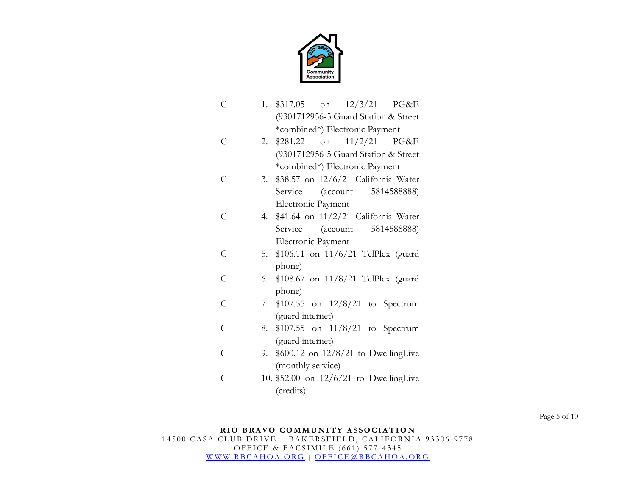

- C 1. \$317.05 on 12/3/21 PG&E (9301712956-5 Guard Station & Street \*combined\*) Electronic Payment
- C 2. \$281.22 on 11/2/21 PG&E (9301712956-5 Guard Station & Street \*combined\*) Electronic Payment
- C 3. \$38.57 on 12/6/21 California Water Service (account 5814588888) Electronic Payment
- C 4. \$41.64 on 11/2/21 California Water Service (account 5814588888) Electronic Payment
- C 5. \$106.11 on 11/6/21 TelPlex (guard phone)
- C 6. \$108.67 on 11/8/21 TelPlex (guard phone)
- C 7. \$107.55 on 12/8/21 to Spectrum (guard internet)
- C 8. \$107.55 on 11/8/21 to Spectrum (guard internet)
- $\overline{C}$ 9. \$600.12 on 12/8/21 to DwellingLive (monthly service)
- C 10. \$52.00 on 12/6/21 to DwellingLive (credits)

Page 5 of 10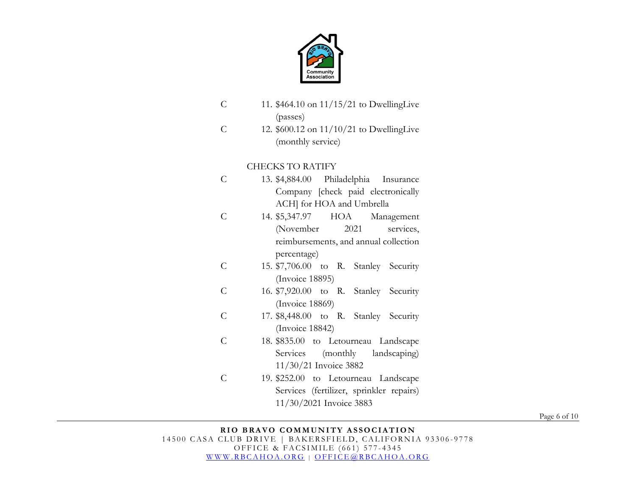

- C 11. \$464.10 on 11/15/21 to DwellingLive (passes)
- C 12. \$600.12 on 11/10/21 to DwellingLive (monthly service)

## CHECKS TO RATIFY

- C 13. \$4,884.00 Philadelphia Insurance Company [check paid electronically ACH] for HOA and Umbrella
- C 14. \$5,347.97 HOA Management (November 2021 services, reimbursements, and annual collection percentage)
- C 15. \$7,706.00 to R. Stanley Security (Invoice 18895)
- C 16. \$7,920.00 to R. Stanley Security (Invoice 18869)
- C 17. \$8,448.00 to R. Stanley Security (Invoice 18842)
- C 18. \$835.00 to Letourneau Landscape Services (monthly landscaping) 11/30/21 Invoice 3882
- C 19. \$252.00 to Letourneau Landscape Services (fertilizer, sprinkler repairs) 11/30/2021 Invoice 3883

Page 6 of 10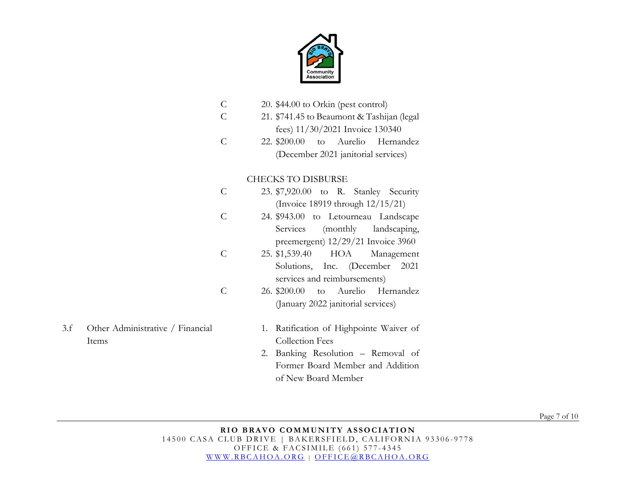

|     |                                  | $\mathsf{C}$  | 20. \$44.00 to Orkin (pest control)        |
|-----|----------------------------------|---------------|--------------------------------------------|
|     |                                  | C             | 21. \$741.45 to Beaumont & Tashijan (legal |
|     |                                  |               | fees) 11/30/2021 Invoice 130340            |
|     |                                  | $\mathsf{C}$  | 22. \$200.00<br>Aurelio<br>Hernandez<br>to |
|     |                                  |               | (December 2021 janitorial services)        |
|     |                                  |               |                                            |
|     |                                  |               | <b>CHECKS TO DISBURSE</b>                  |
|     |                                  | $\mathsf{C}$  | 23. \$7,920.00 to R. Stanley Security      |
|     |                                  |               | (Invoice 18919 through 12/15/21)           |
|     |                                  | $\mathcal{C}$ | 24. \$943.00 to Letourneau Landscape       |
|     |                                  |               | Services<br>(monthly<br>landscaping,       |
|     |                                  |               | preemergent) $12/29/21$ Invoice 3960       |
|     |                                  | $\mathcal{C}$ | HOA<br>25. \$1,539.40<br>Management        |
|     |                                  |               | Solutions, Inc. (December<br>2021          |
|     |                                  |               | services and reimbursements)               |
|     |                                  | $\mathcal{C}$ | 26. \$200.00<br>Aurelio<br>Hernandez<br>to |
|     |                                  |               |                                            |
|     |                                  |               | (January 2022 janitorial services)         |
| 3.f | Other Administrative / Financial |               | 1. Ratification of Highpointe Waiver of    |
|     | Items                            |               | <b>Collection Fees</b>                     |
|     |                                  |               | Banking Resolution - Removal of<br>2.      |
|     |                                  |               | Former Board Member and Addition           |
|     |                                  |               |                                            |

Page 7 of 10

#### **RIO BRAVO COMMUNITY ASSOCIATION** 14500 CASA CLUB DRIVE | BAKERSFIELD, CALIFORNIA 93306-9778 OFFICE & FACSIMILE (661) 577 - 4345 [WWW.RBCAHOA.ORG](http://www.rbcahoa.org/) | [OFFICE@RBCAHOA.ORG](mailto:OFFICE@RBCAHOA.ORG)

of New Board Member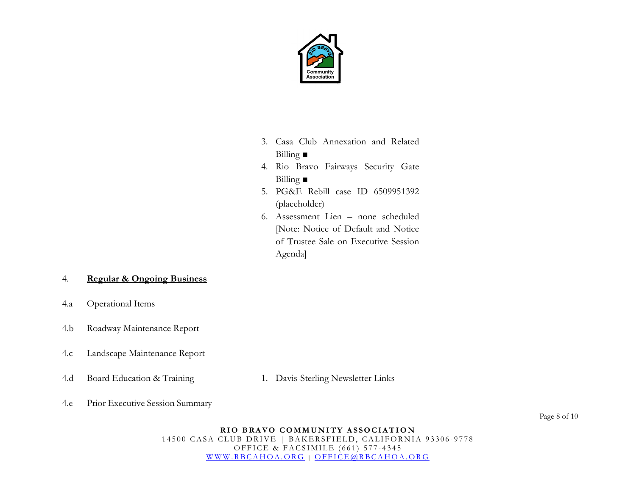

- 3. Casa Club Annexation and Related Billing **■**
- 4. Rio Bravo Fairways Security Gate Billing **■**
- 5. PG&E Rebill case ID 6509951392 (placeholder)
- 6. Assessment Lien none scheduled [Note: Notice of Default and Notice of Trustee Sale on Executive Session Agenda]

## 4. **Regular & Ongoing Business**

- 4.a Operational Items
- 4.b Roadway Maintenance Report
- 4.c Landscape Maintenance Report
- 4.d Board Education & Training 1. Davis-Sterling Newsletter Links
- 

4.e Prior Executive Session Summary

Page 8 of 10

**RIO BRAVO COMMUNITY ASSOCIATION** 14500 CASA CLUB DRIVE | BAKERSFIELD, CALIFORNIA 93306-9778 OFFICE & FACSIMILE (661) 577 - 4345 [WWW.RBCAHOA.ORG](http://www.rbcahoa.org/) | [OFFICE@RBCAHOA.ORG](mailto:OFFICE@RBCAHOA.ORG)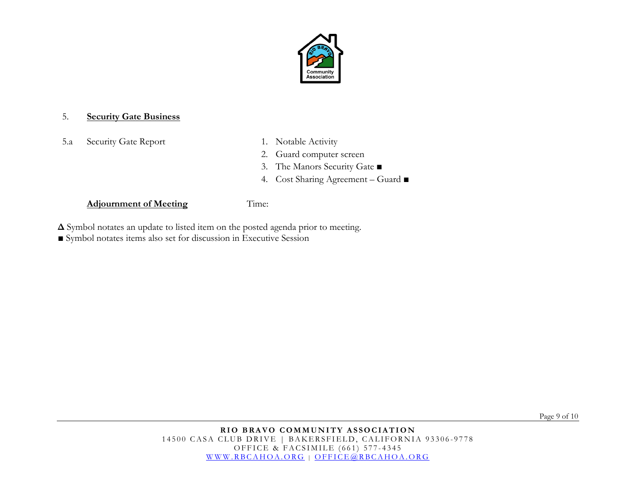

### 5. **Security Gate Business**

5.a Security Gate Report 1. Notable Activity

- 
- 2. Guard computer screen
- 3. The Manors Security Gate ■
- 4. Cost Sharing Agreement Guard ■

## **Adjournment of Meeting** Time:

- **Δ** Symbol notates an update to listed item on the posted agenda prior to meeting.
- Symbol notates items also set for discussion in Executive Session

Page 9 of 10